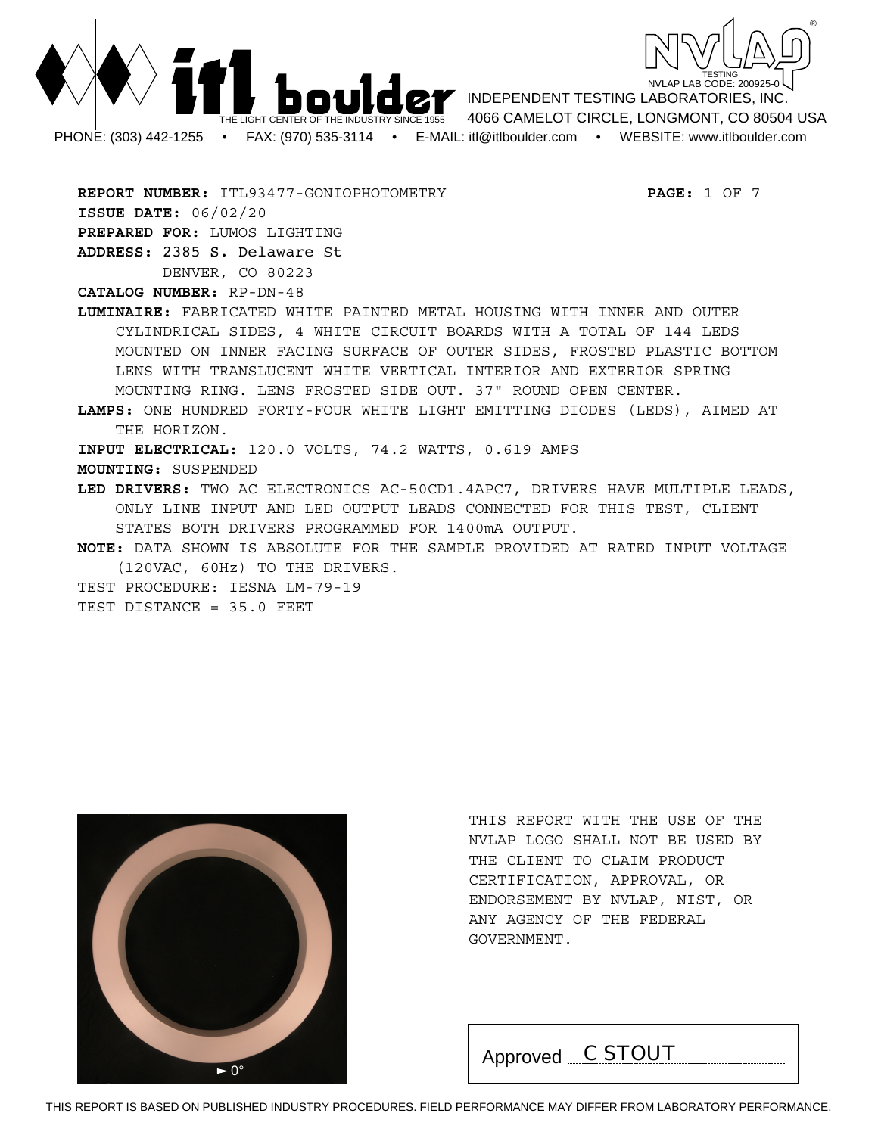



**REPORT NUMBER:** ITL93477-GONIOPHOTOMETRY **PAGE:** 1 OF 7 **ISSUE DATE:** 06/02/20 **PREPARED FOR:** LUMOS LIGHTING **ADDRESS:** 2385 S. Delaware St DENVER, CO 80223

**CATALOG NUMBER:** RP-DN-48

**LUMINAIRE:** FABRICATED WHITE PAINTED METAL HOUSING WITH INNER AND OUTER CYLINDRICAL SIDES, 4 WHITE CIRCUIT BOARDS WITH A TOTAL OF 144 LEDS MOUNTED ON INNER FACING SURFACE OF OUTER SIDES, FROSTED PLASTIC BOTTOM LENS WITH TRANSLUCENT WHITE VERTICAL INTERIOR AND EXTERIOR SPRING MOUNTING RING. LENS FROSTED SIDE OUT. 37" ROUND OPEN CENTER.

**LAMPS:** ONE HUNDRED FORTY-FOUR WHITE LIGHT EMITTING DIODES (LEDS), AIMED AT THE HORIZON.

**INPUT ELECTRICAL:** 120.0 VOLTS, 74.2 WATTS, 0.619 AMPS

**MOUNTING:** SUSPENDED

**LED DRIVERS:** TWO AC ELECTRONICS AC-50CD1.4APC7, DRIVERS HAVE MULTIPLE LEADS, ONLY LINE INPUT AND LED OUTPUT LEADS CONNECTED FOR THIS TEST, CLIENT STATES BOTH DRIVERS PROGRAMMED FOR 1400mA OUTPUT.

**NOTE:** DATA SHOWN IS ABSOLUTE FOR THE SAMPLE PROVIDED AT RATED INPUT VOLTAGE (120VAC, 60Hz) TO THE DRIVERS.

TEST PROCEDURE: IESNA LM-79-19

TEST DISTANCE = 35.0 FEET



THIS REPORT WITH THE USE OF THE NVLAP LOGO SHALL NOT BE USED BY THE CLIENT TO CLAIM PRODUCT CERTIFICATION, APPROVAL, OR ENDORSEMENT BY NVLAP, NIST, OR ANY AGENCY OF THE FEDERAL GOVERNMENT.

Approved *C STOUT*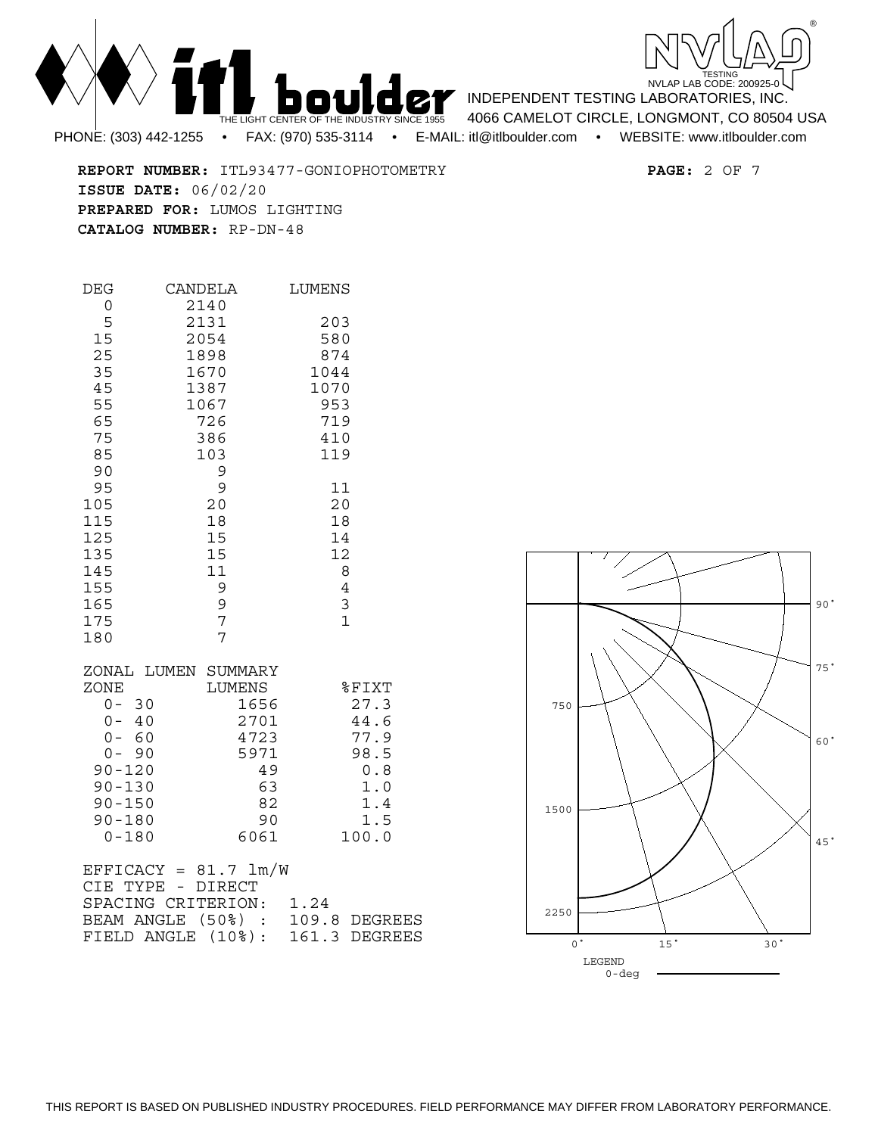

TESTING<br>NVLAP LAB CODE: 200925-0 ®

INDEPENDENT TESTING LABORATORIES, INC. 4066 CAMELOT CIRCLE, LONGMONT, CO 80504 USA PHONE: (303) 442-1255 • FAX: (970) 535-3114 • E-MAIL: itl@itlboulder.com • WEBSITE: www.itlboulder.com

**REPORT NUMBER:** ITL93477-GONIOPHOTOMETRY **PAGE:** 2 OF 7 **ISSUE DATE:** 06/02/20 **PREPARED FOR:** LUMOS LIGHTING **CATALOG NUMBER:** RP-DN-48

| DEG<br>0                                                                                                                                         | CANDELA<br>2140                   |                                                              | LUMENS                                     |                                                                              |
|--------------------------------------------------------------------------------------------------------------------------------------------------|-----------------------------------|--------------------------------------------------------------|--------------------------------------------|------------------------------------------------------------------------------|
| 5<br>15<br>25<br>35                                                                                                                              | 2131<br>2054<br>1898<br>1670      |                                                              | 203<br>580<br>874<br>1044                  |                                                                              |
| 45<br>55<br>65<br>75<br>85                                                                                                                       | 1387<br>1067<br>726<br>386<br>103 |                                                              | 1070<br>953<br>719<br>410<br>119           |                                                                              |
| 90<br>95<br>105<br>115<br>125<br>135                                                                                                             | 9<br>9<br>20<br>18<br>15<br>15    |                                                              | 11<br>20<br>18<br>14<br>12                 |                                                                              |
| 145<br>155<br>165<br>175<br>180                                                                                                                  | 11<br>9<br>9<br>7<br>7            |                                                              | 8<br>$\overline{4}$<br>3<br>$\overline{1}$ |                                                                              |
| ZONAL LUMEN SUMMARY<br>ZONE<br>$0 - 30$<br>$0 - 40$<br>$0 - 60$<br>$0 - 90$<br>$90 - 120$<br>$90 - 130$<br>$90 - 150$<br>$90 - 180$<br>$0 - 180$ | LUMENS                            | 1656<br>2701<br>4723<br>5971<br>49<br>63<br>82<br>90<br>6061 |                                            | %FIXT<br>27.3<br>44.6<br>77.9<br>98.5<br>$0.8$<br>1.0<br>1.4<br>1.5<br>100.0 |
| $EFFICK = 81.7 1m/W$<br>CIE TYPE - DIRECT<br>SPACING CRITERION:<br>BEAM ANGLE (50%) :<br>FIELD ANGLE (10%):                                      |                                   |                                                              | 1.24                                       | 109.8 DEGREES<br>161.3 DEGREES                                               |

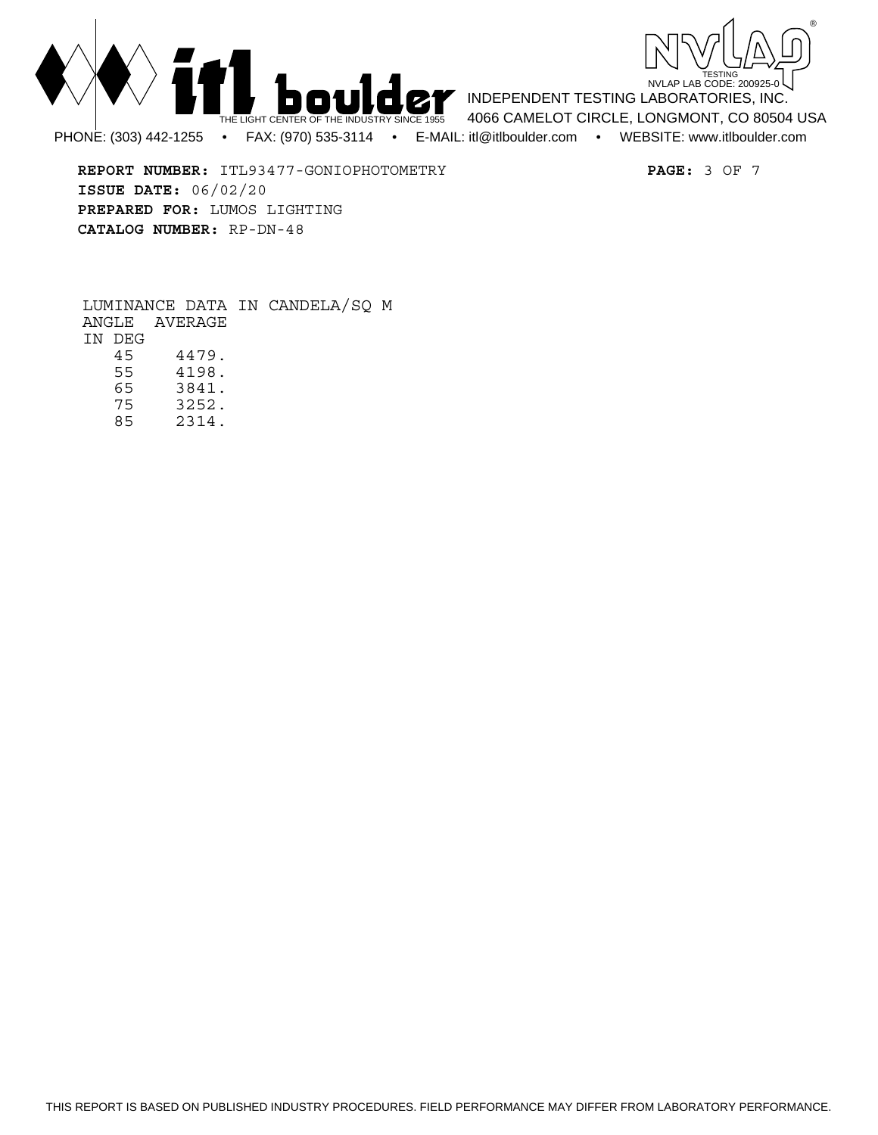



**REPORT NUMBER:** ITL93477-GONIOPHOTOMETRY **PAGE:** 3 OF 7 **ISSUE DATE:** 06/02/20 **PREPARED FOR:** LUMOS LIGHTING **CATALOG NUMBER:** RP-DN-48

LUMINANCE DATA IN CANDELA/SQ M ANGLE AVERAGE IN DEG 45 4479. 4198. 65 3841. 75 3252.

85 2314.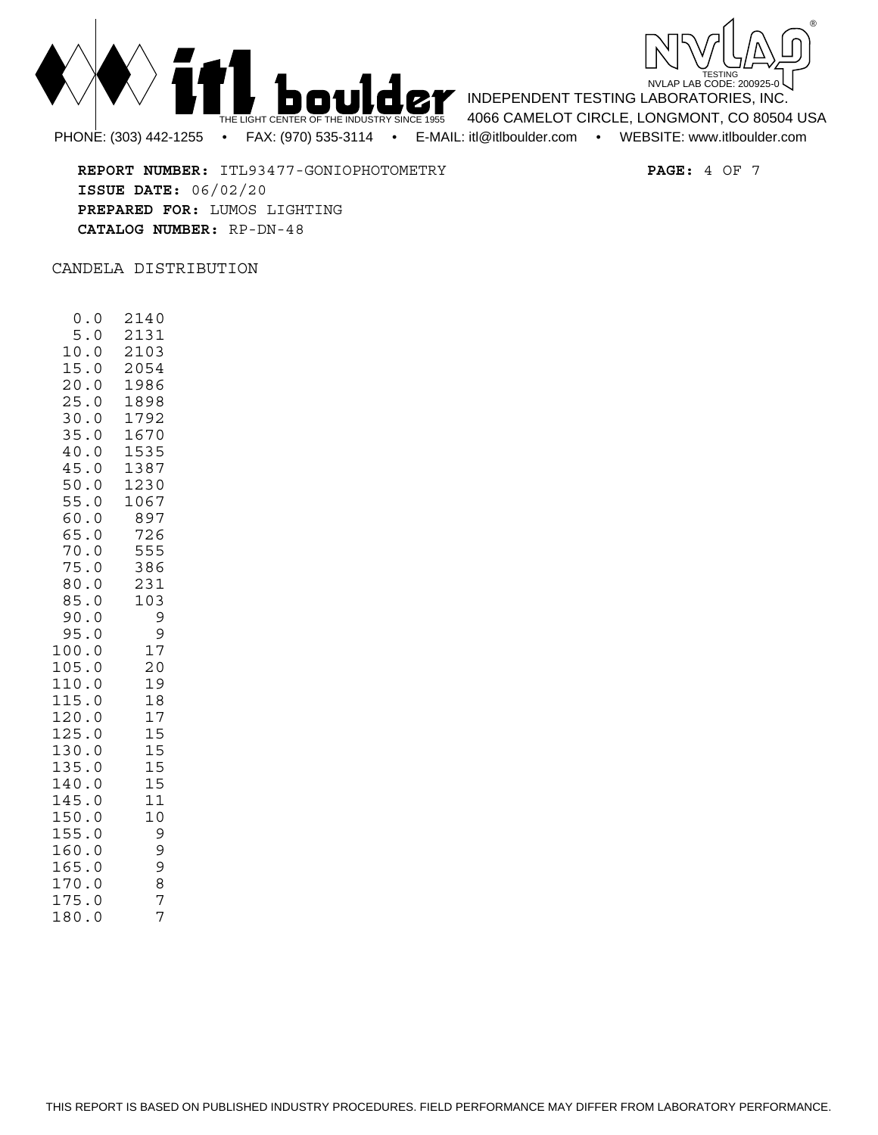



**REPORT NUMBER:** ITL93477-GONIOPHOTOMETRY **PAGE:** 4 OF 7 **ISSUE DATE:** 06/02/20 **PREPARED FOR:** LUMOS LIGHTING **CATALOG NUMBER:** RP-DN-48

CANDELA DISTRIBUTION

 0.0 2140 5.0 2131 10.0 2103 15.0 2054 20.0 1986<br>25.0 1898 25.0 1898 30.0 1792 35.0 1670 40.0 1535 45.0 1387 50.0 1230 55.0 1067 60.0 897 65.0 726 555 75.0 386  $80.0$ 85.0 103<br>90.0 9 90.0 9<br>95.0 9 95.0 9 100.0 17 105.0 20 110.0 19 115.0 18 120.0 17<br>125.0 15  $125.0$ 130.0 15 135.0 15 140.0 15<br>145.0 11 145.0 150.0 10 155.0 9<br>160.0 9 160.0 165.0 9 170.0 8 175.0 7<br>180.0 7 180.0 7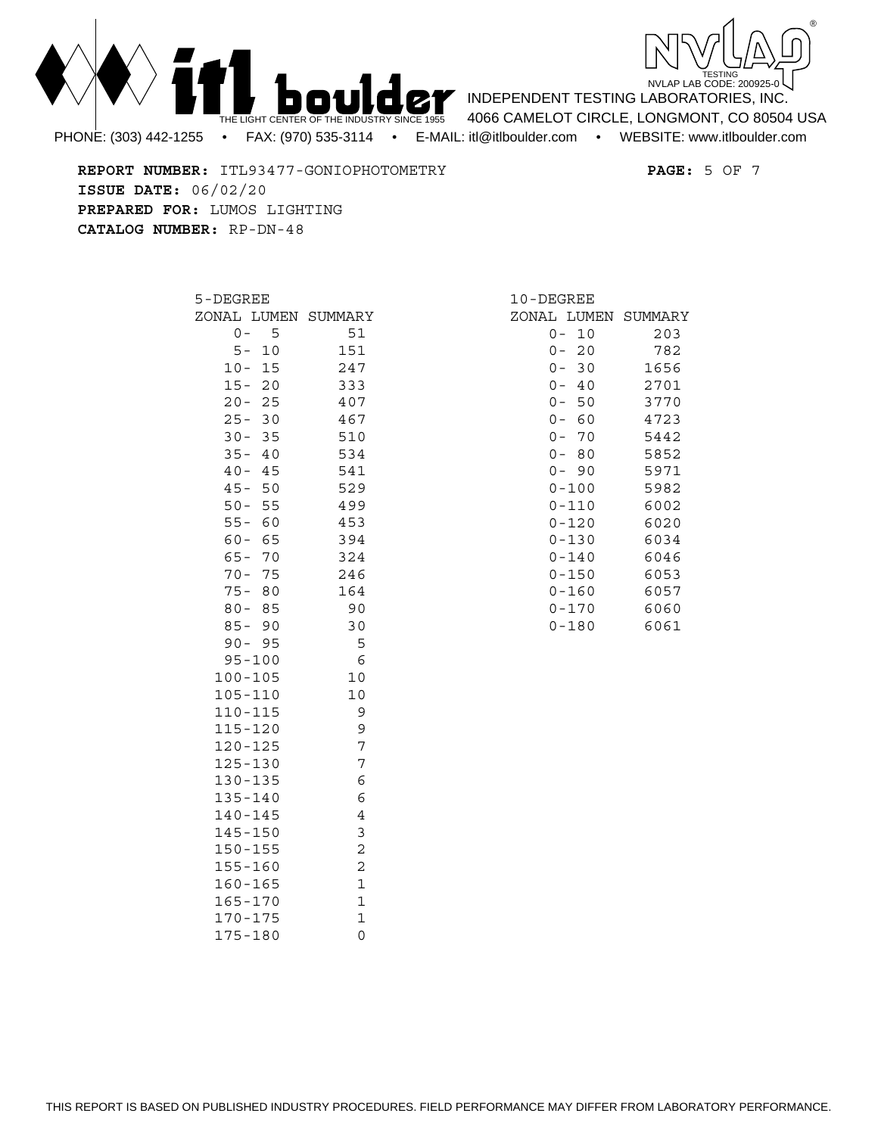



INDEPENDENT TESTING LABORATORIES, INC. 4066 CAMELOT CIRCLE, LONGMONT, CO 80504 USA

**REPORT NUMBER:** ITL93477-GONIOPHOTOMETRY **PAGE:** 5 OF 7 **ISSUE DATE:** 06/02/20 **PREPARED FOR:** LUMOS LIGHTING **CATALOG NUMBER:** RP-DN-48

| 5-DEGREE                  |    |                                         |
|---------------------------|----|-----------------------------------------|
|                           |    | ZONAL LUMEN SUMMARY                     |
| 0 -                       | 5  | 51                                      |
| $5-$                      | 10 | 151                                     |
| $10 -$                    | 15 | 247                                     |
| $15 -$                    | 20 | 333                                     |
| $20 -$                    | 25 | 407                                     |
| $25 -$                    | 30 | 467                                     |
| $30 -$                    | 35 | 510                                     |
| $35 -$                    | 40 | 534                                     |
| $40 -$                    | 45 | 541                                     |
| $45 -$                    | 50 | 529                                     |
| $50 -$                    | 55 | 499                                     |
| $55 -$                    | 60 | 453                                     |
| $60 -$                    | 65 | 394                                     |
| $65 -$                    | 70 | 324                                     |
| $70 -$                    | 75 | 246                                     |
| $75 -$                    | 80 | 164                                     |
| $80 -$                    | 85 | 90                                      |
| $85 -$                    | 90 | 30                                      |
| $90 -$                    | 95 | 5                                       |
| $95 - 100$                |    | 6                                       |
| $100 - 105$               |    | 10                                      |
| 105-110                   |    | 10                                      |
| 110-115                   |    | 9                                       |
| 115-120                   |    | 9                                       |
| $120 - 125$               |    | 7                                       |
| 125-130                   |    | 7                                       |
| 130-135                   |    | 6                                       |
| $135 - 140$               |    | 6                                       |
| $140 - 145$               |    | $\overline{4}$<br>3                     |
| 145-150                   |    | $\overline{c}$                          |
| $150 - 155$               |    |                                         |
| 155-160                   |    | $\overline{\mathbf{c}}$<br>$\mathbf{1}$ |
| 160-165                   |    | $\mathbf 1$                             |
| 165-170                   |    | $\mathbf 1$                             |
| $170 - 175$<br>$75 - 180$ |    |                                         |
| 1                         |    | 0                                       |

| 10-DEGREE   |      |         |
|-------------|------|---------|
| ZONAL LUMEN |      | SUMMARY |
| 0           | 10   | 203     |
| 0 –         | 20   | 782     |
| 0 –         | 30   | 1656    |
| 0 –         | - 40 | 2701    |
| 0 –         | 50   | 3770    |
| 0 –         | 60   | 4723    |
| 0 –         | 70   | 5442    |
| 0 –         | 80   | 5852    |
| $0 -$       | 90   | 5971    |
| 0-100       |      | 5982    |
| 0-110       |      | 6002    |
| 0-120       |      | 6020    |
| $0 - 130$   |      | 6034    |
| $0 - 140$   |      | 6046    |
| 0-150       |      | 6053    |
| 0-160       |      | 6057    |
| 0-170       |      | 6060    |
| 0-180       |      | 6061    |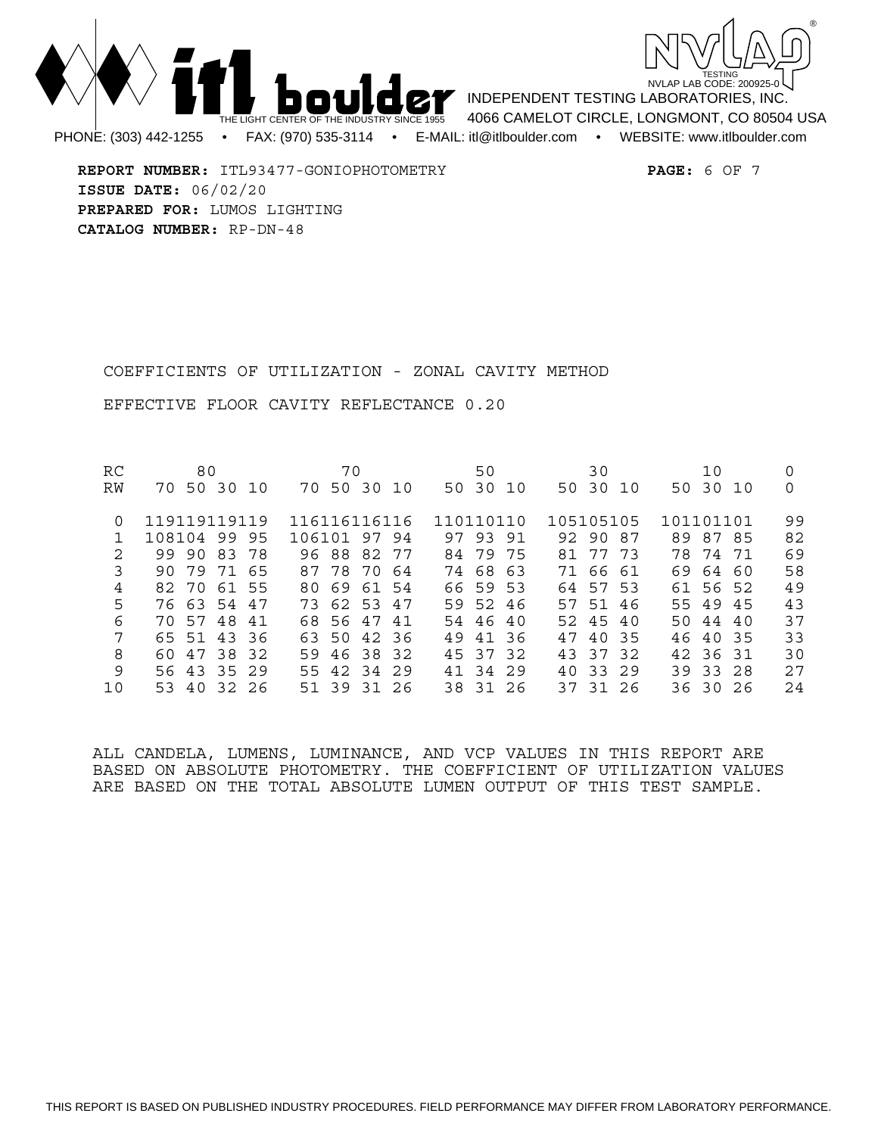



**REPORT NUMBER:** ITL93477-GONIOPHOTOMETRY **PAGE:** 6 OF 7 **ISSUE DATE:** 06/02/20 **PREPARED FOR:** LUMOS LIGHTING **CATALOG NUMBER:** RP-DN-48

COEFFICIENTS OF UTILIZATION - ZONAL CAVITY METHOD

EFFECTIVE FLOOR CAVITY REFLECTANCE 0.20

| RC | 80                     | 70              | 50          | 30           | 10             |    |
|----|------------------------|-----------------|-------------|--------------|----------------|----|
| RW | 50 30<br>70<br>- 1 O   | 70 50 30 10     | 50 30 10    | 50 30 10     | 50 30 10       | 0  |
| 0  | 119119119119           | 116116116116    | 110110110   | 105105105    | 101101101      | 99 |
|    | 108104 99<br>95        | 106101 97 94    | 97 93 91    | 92 90 87     | 89 87 85       | 82 |
| 2  | 99 90 83<br>-78        | 96 88 82 77     | 84 79 75    | 77 73<br>81  | 78 74 71       | 69 |
| 3  | 79 71<br>90<br>65      | 87 78 70<br>-64 | 74 68 63    | 71 66 61     | 69<br>64<br>60 | 58 |
| 4  | 82 70 61 55            | 80 69<br>61 54  | 66 59 53    | 64 57 53     | 61 56 52       | 49 |
| 5  | 76 63 54 47            | 73 62 53 47     | 59 52 46    | 57 51 46     | 55 49 45       | 43 |
| 6  | 57<br>48<br>70 I<br>41 | 68 56 47 41     | 54 46 40    | 52 45 40     | 50 44 40       | 37 |
| 7  | 65 51<br>43<br>- 36    | 63 50 42 36     | 41 36<br>49 | 47<br>40 35  | 46 40 35       | 33 |
| 8  | 60 47 38 32            | 59 46 38 32     | 45 37 32    | 43 37 32     | 42 36 31       | 30 |
| 9  | 56 43 35 29            | 55 42 34 29     | 41 34 29    | 33 29<br>4 Q | 39 33 28       | 27 |
| 10 | 53 40<br>32 26         | 51 39 31 26     | 38 31 26    | 37 31 26     | 36 30 26       | 24 |

ALL CANDELA, LUMENS, LUMINANCE, AND VCP VALUES IN THIS REPORT ARE BASED ON ABSOLUTE PHOTOMETRY. THE COEFFICIENT OF UTILIZATION VALUES ARE BASED ON THE TOTAL ABSOLUTE LUMEN OUTPUT OF THIS TEST SAMPLE.